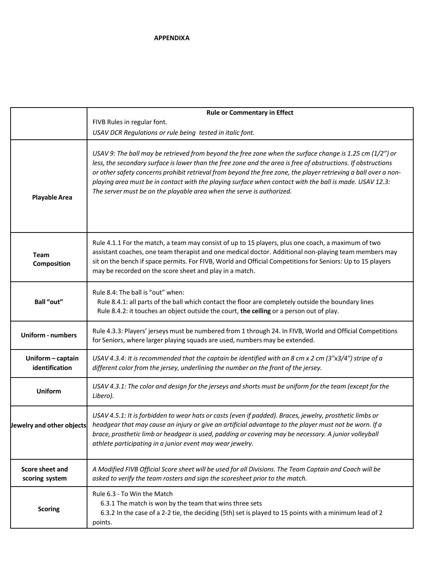|                                     | <b>Rule or Commentary in Effect</b>                                                                                                                                                                                                                                                                                                                                                                                                                                                                                              |
|-------------------------------------|----------------------------------------------------------------------------------------------------------------------------------------------------------------------------------------------------------------------------------------------------------------------------------------------------------------------------------------------------------------------------------------------------------------------------------------------------------------------------------------------------------------------------------|
|                                     | FIVB Rules in regular font.                                                                                                                                                                                                                                                                                                                                                                                                                                                                                                      |
|                                     | USAV DCR Regulations or rule being tested in italic font.                                                                                                                                                                                                                                                                                                                                                                                                                                                                        |
| <b>Playable Area</b>                | USAV 9: The ball may be retrieved from beyond the free zone when the surface change is 1.25 cm (1/2") or<br>less, the secondary surface is lower than the free zone and the area is free of obstructions. If obstructions<br>or other safety concerns prohibit retrieval from beyond the free zone, the player retrieving a ball over a non-<br>playing area must be in contact with the playing surface when contact with the ball is made. USAV 12.3:<br>The server must be on the playable area when the serve is authorized. |
| <b>Team</b><br>Composition          | Rule 4.1.1 For the match, a team may consist of up to 15 players, plus one coach, a maximum of two<br>assistant coaches, one team therapist and one medical doctor. Additional non-playing team members may<br>sit on the bench if space permits. For FIVB, World and Official Competitions for Seniors: Up to 15 players<br>may be recorded on the score sheet and play in a match.                                                                                                                                             |
| Ball "out"                          | Rule 8.4: The ball is "out" when:<br>Rule 8.4.1: all parts of the ball which contact the floor are completely outside the boundary lines<br>Rule 8.4.2: it touches an object outside the court, the ceiling or a person out of play.                                                                                                                                                                                                                                                                                             |
| <b>Uniform - numbers</b>            | Rule 4.3.3: Players' jerseys must be numbered from 1 through 24. In FIVB, World and Official Competitions<br>for Seniors, where larger playing squads are used, numbers may be extended.                                                                                                                                                                                                                                                                                                                                         |
| Uniform - captain<br>identification | USAV 4.3.4: It is recommended that the captain be identified with an 8 cm x 2 cm (3"x3/4") stripe of a<br>different color from the jersey, underlining the number on the front of the jersey.                                                                                                                                                                                                                                                                                                                                    |
| Uniform                             | USAV 4.3.1: The color and design for the jerseys and shorts must be uniform for the team (except for the<br>Libero).                                                                                                                                                                                                                                                                                                                                                                                                             |
| Jewelry and other objects           | USAV 4.5.1: It is forbidden to wear hats or casts (even if padded). Braces, jewelry, prosthetic limbs or<br>headgear that may cause an injury or give an artificial advantage to the player must not be worn. If a<br>brace, prosthetic limb or headgear is used, padding or covering may be necessary. A junior volleyball<br>athlete participating in a junior event may wear jewelry.                                                                                                                                         |
| Score sheet and<br>scoring system   | A Modified FIVB Official Score sheet will be used for all Divisions. The Team Captain and Coach will be<br>asked to verify the team rosters and sign the scoresheet prior to the match.                                                                                                                                                                                                                                                                                                                                          |
| <b>Scoring</b>                      | Rule 6.3 - To Win the Match<br>6.3.1 The match is won by the team that wins three sets<br>6.3.2 In the case of a 2-2 tie, the deciding (5th) set is played to 15 points with a minimum lead of 2<br>points.                                                                                                                                                                                                                                                                                                                      |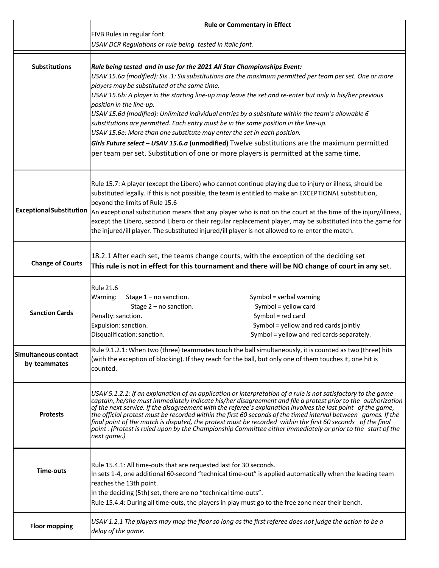|                                 | <b>Rule or Commentary in Effect</b>                                                                                                                                                                                          |
|---------------------------------|------------------------------------------------------------------------------------------------------------------------------------------------------------------------------------------------------------------------------|
|                                 | FIVB Rules in regular font.                                                                                                                                                                                                  |
|                                 | USAV DCR Regulations or rule being tested in italic font.                                                                                                                                                                    |
|                                 |                                                                                                                                                                                                                              |
| <b>Substitutions</b>            | Rule being tested and in use for the 2021 All Star Championships Event:                                                                                                                                                      |
|                                 | USAV 15.6a (modified): Six .1: Six substitutions are the maximum permitted per team per set. One or more                                                                                                                     |
|                                 | players may be substituted at the same time.                                                                                                                                                                                 |
|                                 | USAV 15.6b: A player in the starting line-up may leave the set and re-enter but only in his/her previous                                                                                                                     |
|                                 | position in the line-up.                                                                                                                                                                                                     |
|                                 | USAV 15.6d (modified): Unlimited individual entries by a substitute within the team's allowable 6                                                                                                                            |
|                                 | substitutions are permitted. Each entry must be in the same position in the line-up.                                                                                                                                         |
|                                 | USAV 15.6e: More than one substitute may enter the set in each position.                                                                                                                                                     |
|                                 | Girls Future select - USAV 15.6.a (unmodified) Twelve substitutions are the maximum permitted                                                                                                                                |
|                                 | per team per set. Substitution of one or more players is permitted at the same time.                                                                                                                                         |
|                                 |                                                                                                                                                                                                                              |
|                                 | Rule 15.7: A player (except the Libero) who cannot continue playing due to injury or illness, should be                                                                                                                      |
|                                 | substituted legally. If this is not possible, the team is entitled to make an EXCEPTIONAL substitution,                                                                                                                      |
|                                 | beyond the limits of Rule 15.6                                                                                                                                                                                               |
| <b>Exceptional Substitution</b> | An exceptional substitution means that any player who is not on the court at the time of the injury/illness,                                                                                                                 |
|                                 | except the Libero, second Libero or their regular replacement player, may be substituted into the game for                                                                                                                   |
|                                 | the injured/ill player. The substituted injured/ill player is not allowed to re-enter the match.                                                                                                                             |
|                                 |                                                                                                                                                                                                                              |
|                                 | 18.2.1 After each set, the teams change courts, with the exception of the deciding set                                                                                                                                       |
| <b>Change of Courts</b>         | This rule is not in effect for this tournament and there will be NO change of court in any set.                                                                                                                              |
|                                 |                                                                                                                                                                                                                              |
|                                 | <b>Rule 21.6</b>                                                                                                                                                                                                             |
|                                 | Warning:<br>Stage 1 - no sanction.<br>Symbol = verbal warning                                                                                                                                                                |
| <b>Sanction Cards</b>           | Symbol = yellow card<br>Stage 2 - no sanction.                                                                                                                                                                               |
|                                 | Symbol = red card<br>Penalty: sanction.                                                                                                                                                                                      |
|                                 | Expulsion: sanction.<br>Symbol = yellow and red cards jointly<br>Symbol = yellow and red cards separately.                                                                                                                   |
|                                 | Disqualification: sanction.                                                                                                                                                                                                  |
| Simultaneous contact            | Rule 9.1.2.1: When two (three) teammates touch the ball simultaneously, it is counted as two (three) hits                                                                                                                    |
| by teammates                    | (with the exception of blocking). If they reach for the ball, but only one of them touches it, one hit is                                                                                                                    |
|                                 | counted.                                                                                                                                                                                                                     |
|                                 |                                                                                                                                                                                                                              |
|                                 | USAV 5.1.2.1: If an explanation of an application or interpretation of a rule is not satisfactory to the game                                                                                                                |
|                                 | captain, he/she must immediately indicate his/her disagreement and file a protest prior to the authorization<br>of the next service. If the disagreement with the referee's explanation involves the last point of the game, |
| <b>Protests</b>                 | the official protest must be recorded within the first 60 seconds of the timed interval between games. If the                                                                                                                |
|                                 | final point of the match is disputed, the protest must be recorded within the first 60 seconds of the final<br>point. (Protest is ruled upon by the Championship Committee either immediately or prior to the start of the   |
|                                 | next game.)                                                                                                                                                                                                                  |
|                                 |                                                                                                                                                                                                                              |
|                                 |                                                                                                                                                                                                                              |
| <b>Time-outs</b>                | Rule 15.4.1: All time-outs that are requested last for 30 seconds.<br>In sets 1-4, one additional 60-second "technical time-out" is applied automatically when the leading team                                              |
|                                 | reaches the 13th point.                                                                                                                                                                                                      |
|                                 | In the deciding (5th) set, there are no "technical time-outs".                                                                                                                                                               |
|                                 | Rule 15.4.4: During all time-outs, the players in play must go to the free zone near their bench.                                                                                                                            |
|                                 |                                                                                                                                                                                                                              |
| <b>Floor mopping</b>            | USAV 1.2.1 The players may mop the floor so long as the first referee does not judge the action to be a<br>delay of the game.                                                                                                |
|                                 |                                                                                                                                                                                                                              |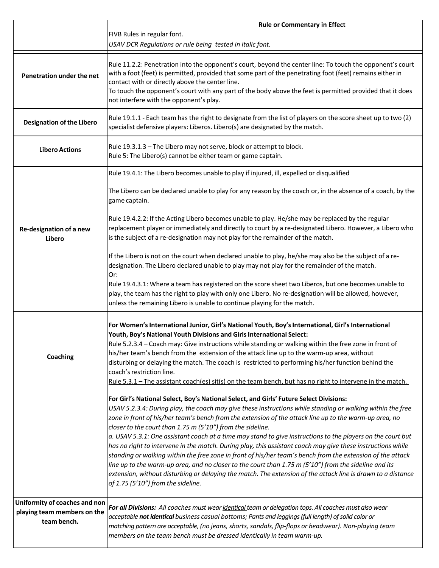|                                                                             | <b>Rule or Commentary in Effect</b>                                                                                                                                                                                                                                                                                                                                                                                                                                                                                                                                                                                                                                                                                                                                                                                                                                                                                                                                                     |
|-----------------------------------------------------------------------------|-----------------------------------------------------------------------------------------------------------------------------------------------------------------------------------------------------------------------------------------------------------------------------------------------------------------------------------------------------------------------------------------------------------------------------------------------------------------------------------------------------------------------------------------------------------------------------------------------------------------------------------------------------------------------------------------------------------------------------------------------------------------------------------------------------------------------------------------------------------------------------------------------------------------------------------------------------------------------------------------|
|                                                                             | FIVB Rules in regular font.                                                                                                                                                                                                                                                                                                                                                                                                                                                                                                                                                                                                                                                                                                                                                                                                                                                                                                                                                             |
|                                                                             | USAV DCR Regulations or rule being tested in italic font.                                                                                                                                                                                                                                                                                                                                                                                                                                                                                                                                                                                                                                                                                                                                                                                                                                                                                                                               |
| Penetration under the net                                                   | Rule 11.2.2: Penetration into the opponent's court, beyond the center line: To touch the opponent's court<br>with a foot (feet) is permitted, provided that some part of the penetrating foot (feet) remains either in<br>contact with or directly above the center line.<br>To touch the opponent's court with any part of the body above the feet is permitted provided that it does<br>not interfere with the opponent's play.                                                                                                                                                                                                                                                                                                                                                                                                                                                                                                                                                       |
| <b>Designation of the Libero</b>                                            | Rule 19.1.1 - Each team has the right to designate from the list of players on the score sheet up to two (2)<br>specialist defensive players: Liberos. Libero(s) are designated by the match.                                                                                                                                                                                                                                                                                                                                                                                                                                                                                                                                                                                                                                                                                                                                                                                           |
| <b>Libero Actions</b>                                                       | Rule 19.3.1.3 - The Libero may not serve, block or attempt to block.<br>Rule 5: The Libero(s) cannot be either team or game captain.                                                                                                                                                                                                                                                                                                                                                                                                                                                                                                                                                                                                                                                                                                                                                                                                                                                    |
|                                                                             | Rule 19.4.1: The Libero becomes unable to play if injured, ill, expelled or disqualified                                                                                                                                                                                                                                                                                                                                                                                                                                                                                                                                                                                                                                                                                                                                                                                                                                                                                                |
|                                                                             | The Libero can be declared unable to play for any reason by the coach or, in the absence of a coach, by the<br>game captain.                                                                                                                                                                                                                                                                                                                                                                                                                                                                                                                                                                                                                                                                                                                                                                                                                                                            |
| Re-designation of a new<br>Libero                                           | Rule 19.4.2.2: If the Acting Libero becomes unable to play. He/she may be replaced by the regular<br>replacement player or immediately and directly to court by a re-designated Libero. However, a Libero who<br>is the subject of a re-designation may not play for the remainder of the match.                                                                                                                                                                                                                                                                                                                                                                                                                                                                                                                                                                                                                                                                                        |
|                                                                             | If the Libero is not on the court when declared unable to play, he/she may also be the subject of a re-<br>designation. The Libero declared unable to play may not play for the remainder of the match.<br>Or:<br>Rule 19.4.3.1: Where a team has registered on the score sheet two Liberos, but one becomes unable to                                                                                                                                                                                                                                                                                                                                                                                                                                                                                                                                                                                                                                                                  |
|                                                                             | play, the team has the right to play with only one Libero. No re-designation will be allowed, however,<br>unless the remaining Libero is unable to continue playing for the match.                                                                                                                                                                                                                                                                                                                                                                                                                                                                                                                                                                                                                                                                                                                                                                                                      |
| <b>Coaching</b>                                                             | For Women's International Junior, Girl's National Youth, Boy's International, Girl's International<br>Youth, Boy's National Youth Divisions and Girls International Select:<br>Rule 5.2.3.4 - Coach may: Give instructions while standing or walking within the free zone in front of<br>his/her team's bench from the extension of the attack line up to the warm-up area, without<br>disturbing or delaying the match. The coach is restricted to performing his/her function behind the<br>coach's restriction line.<br>Rule 5.3.1 – The assistant coach(es) sit(s) on the team bench, but has no right to intervene in the match.                                                                                                                                                                                                                                                                                                                                                   |
|                                                                             | For Girl's National Select, Boy's National Select, and Girls' Future Select Divisions:<br>USAV 5.2.3.4: During play, the coach may give these instructions while standing or walking within the free<br>zone in front of his/her team's bench from the extension of the attack line up to the warm-up area, no<br>closer to the court than 1.75 m (5'10") from the sideline.<br>a. USAV 5.3.1: One assistant coach at a time may stand to give instructions to the players on the court but<br>has no right to intervene in the match. During play, this assistant coach may give these instructions while<br>standing or walking within the free zone in front of his/her team's bench from the extension of the attack<br>line up to the warm-up area, and no closer to the court than 1.75 m (5'10") from the sideline and its<br>extension, without disturbing or delaying the match. The extension of the attack line is drawn to a distance<br>of 1.75 (5'10") from the sideline. |
| Uniformity of coaches and non<br>playing team members on the<br>team bench. | For all Divisions: All coaches must wear identical team or delegation tops. All coaches must also wear<br>acceptable not identical business casual bottoms; Pants and leggings (full length) of solid color or<br>matching pattern are acceptable, (no jeans, shorts, sandals, flip-flops or headwear). Non-playing team<br>members on the team bench must be dressed identically in team warm-up.                                                                                                                                                                                                                                                                                                                                                                                                                                                                                                                                                                                      |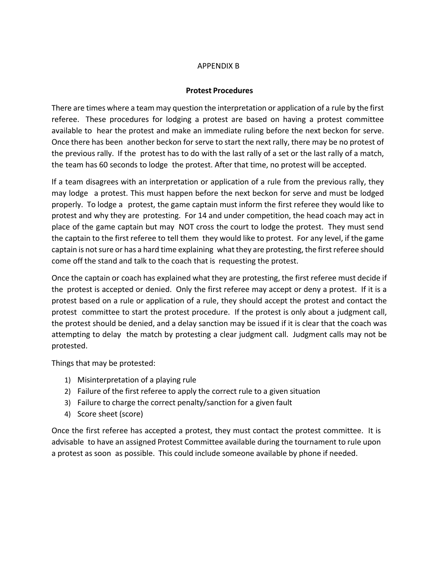## APPENDIX B

## **Protest Procedures**

There are times where a team may question the interpretation or application of a rule by the first referee. These procedures for lodging a protest are based on having a protest committee available to hear the protest and make an immediate ruling before the next beckon for serve. Once there has been another beckon for serve to start the next rally, there may be no protest of the previous rally. If the protest has to do with the last rally of a set or the last rally of a match, the team has 60 seconds to lodge the protest. After that time, no protest will be accepted.

If a team disagrees with an interpretation or application of a rule from the previous rally, they may lodge a protest. This must happen before the next beckon for serve and must be lodged properly. To lodge a protest, the game captain must inform the first referee they would like to protest and why they are protesting. For 14 and under competition, the head coach may act in place of the game captain but may NOT cross the court to lodge the protest. They must send the captain to the first referee to tell them they would like to protest. For any level, if the game captain is not sure or has a hard time explaining what they are protesting, the first referee should come off the stand and talk to the coach that is requesting the protest.

Once the captain or coach has explained what they are protesting, the first referee must decide if the protest is accepted or denied. Only the first referee may accept or deny a protest. If it is a protest based on a rule or application of a rule, they should accept the protest and contact the protest committee to start the protest procedure. If the protest is only about a judgment call, the protest should be denied, and a delay sanction may be issued if it is clear that the coach was attempting to delay the match by protesting a clear judgment call. Judgment calls may not be protested.

Things that may be protested:

- 1) Misinterpretation of a playing rule
- 2) Failure of the first referee to apply the correct rule to a given situation
- 3) Failure to charge the correct penalty/sanction for a given fault
- 4) Score sheet (score)

Once the first referee has accepted a protest, they must contact the protest committee. It is advisable to have an assigned Protest Committee available during the tournament to rule upon a protest as soon as possible. This could include someone available by phone if needed.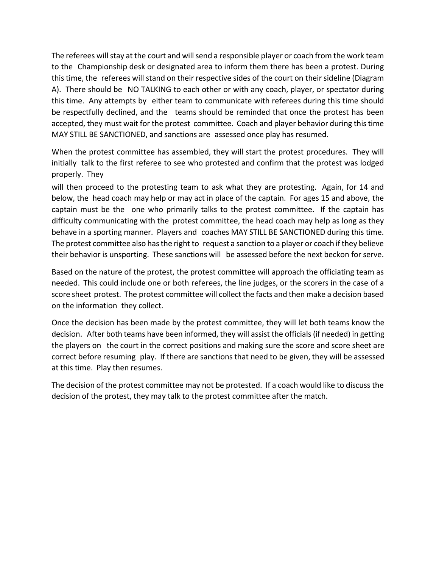The referees will stay at the court and will send a responsible player or coach from the work team to the Championship desk or designated area to inform them there has been a protest. During this time, the referees will stand on their respective sides of the court on their sideline (Diagram A). There should be NO TALKING to each other or with any coach, player, or spectator during this time. Any attempts by either team to communicate with referees during this time should be respectfully declined, and the teams should be reminded that once the protest has been accepted, they must wait for the protest committee. Coach and player behavior during this time MAY STILL BE SANCTIONED, and sanctions are assessed once play has resumed.

When the protest committee has assembled, they will start the protest procedures. They will initially talk to the first referee to see who protested and confirm that the protest was lodged properly. They

will then proceed to the protesting team to ask what they are protesting. Again, for 14 and below, the head coach may help or may act in place of the captain. For ages 15 and above, the captain must be the one who primarily talks to the protest committee. If the captain has difficulty communicating with the protest committee, the head coach may help as long as they behave in a sporting manner. Players and coaches MAY STILL BE SANCTIONED during this time. The protest committee also has the right to request a sanction to a player or coach if they believe their behavior is unsporting. These sanctions will be assessed before the next beckon for serve.

Based on the nature of the protest, the protest committee will approach the officiating team as needed. This could include one or both referees, the line judges, or the scorers in the case of a score sheet protest. The protest committee will collect the facts and then make a decision based on the information they collect.

Once the decision has been made by the protest committee, they will let both teams know the decision. After both teams have been informed, they will assist the officials (if needed) in getting the players on the court in the correct positions and making sure the score and score sheet are correct before resuming play. If there are sanctions that need to be given, they will be assessed at this time. Play then resumes.

The decision of the protest committee may not be protested. If a coach would like to discuss the decision of the protest, they may talk to the protest committee after the match.